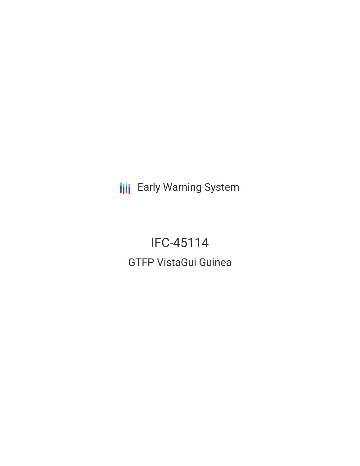**III** Early Warning System

# IFC-45114 GTFP VistaGui Guinea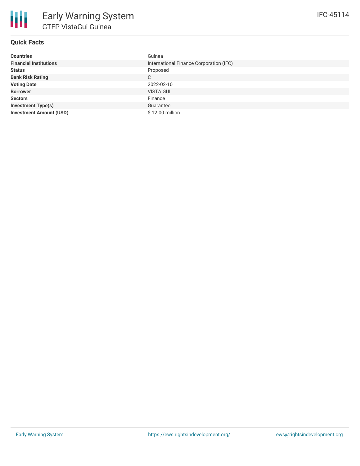# **Quick Facts**

| <b>Countries</b>               | Guinea                                  |
|--------------------------------|-----------------------------------------|
| <b>Financial Institutions</b>  | International Finance Corporation (IFC) |
| <b>Status</b>                  | Proposed                                |
| <b>Bank Risk Rating</b>        | C                                       |
| <b>Voting Date</b>             | 2022-02-10                              |
| <b>Borrower</b>                | <b>VISTA GUI</b>                        |
| <b>Sectors</b>                 | Finance                                 |
| <b>Investment Type(s)</b>      | Guarantee                               |
| <b>Investment Amount (USD)</b> | \$12.00 million                         |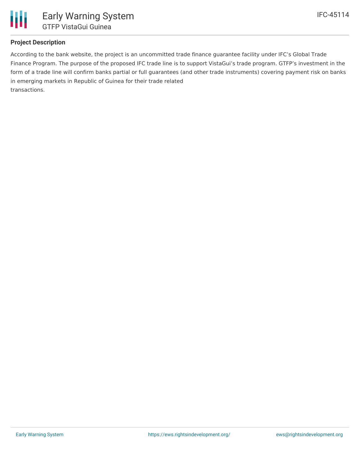

# **Project Description**

According to the bank website, the project is an uncommitted trade finance guarantee facility under IFC's Global Trade Finance Program. The purpose of the proposed IFC trade line is to support VistaGui's trade program. GTFP's investment in the form of a trade line will confirm banks partial or full guarantees (and other trade instruments) covering payment risk on banks in emerging markets in Republic of Guinea for their trade related transactions.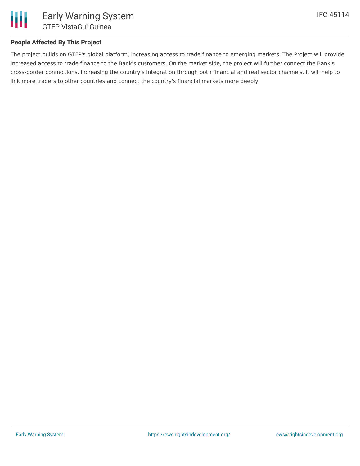

# **People Affected By This Project**

The project builds on GTFP's global platform, increasing access to trade finance to emerging markets. The Project will provide increased access to trade finance to the Bank's customers. On the market side, the project will further connect the Bank's cross-border connections, increasing the country's integration through both financial and real sector channels. It will help to link more traders to other countries and connect the country's financial markets more deeply.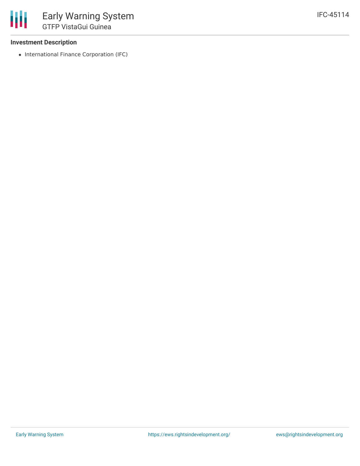#### **Investment Description**

• International Finance Corporation (IFC)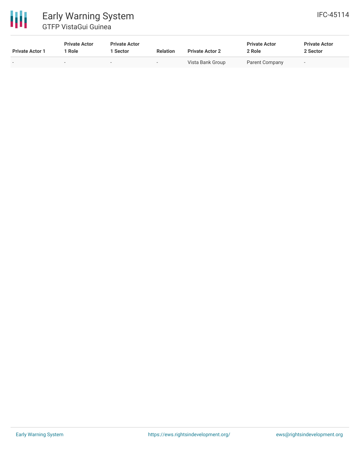# 冊 Early Warning System GTFP VistaGui Guinea

| <b>Private Actor 1</b>   | <b>Private Actor</b><br>  Role | <b>Private Actor</b><br>1 Sector | <b>Relation</b>          | <b>Private Actor 2</b> | <b>Private Actor</b><br>2 Role | <b>Private Actor</b><br>2 Sector |  |
|--------------------------|--------------------------------|----------------------------------|--------------------------|------------------------|--------------------------------|----------------------------------|--|
| $\overline{\phantom{0}}$ |                                | $\overline{\phantom{0}}$         | $\overline{\phantom{a}}$ | Vista Bank Group       | Parent Company                 |                                  |  |